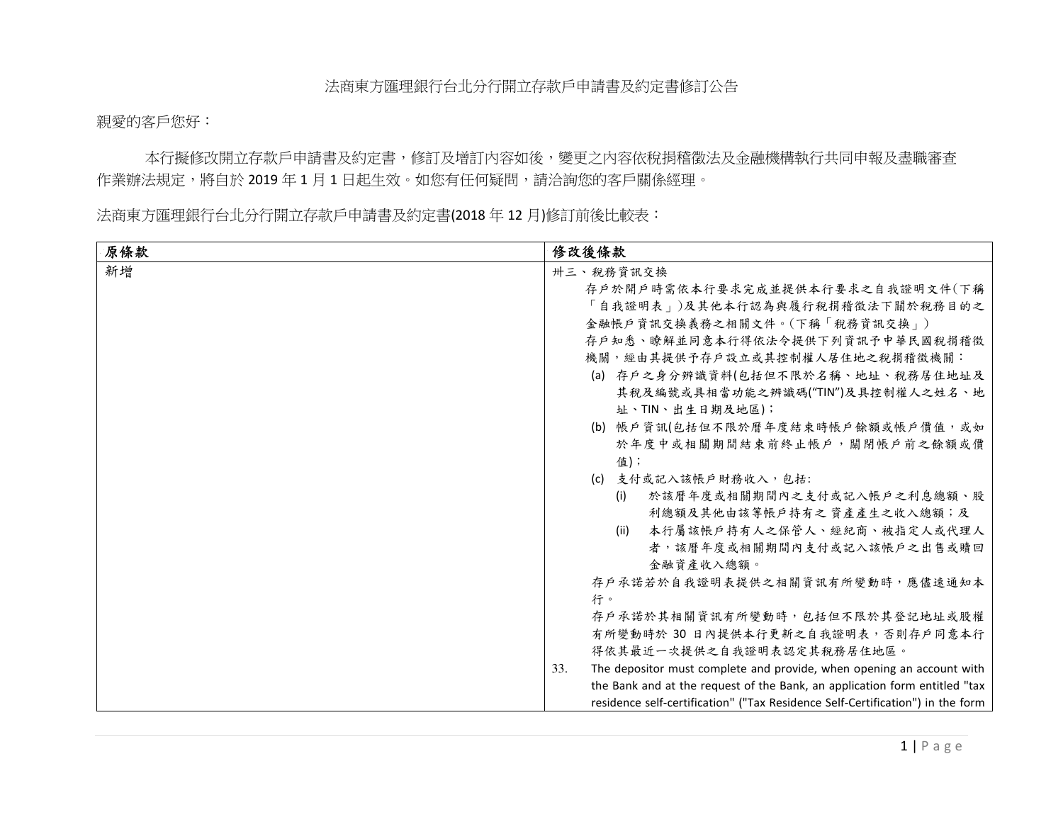親愛的客戶您好:

本行擬修改開立存款戶申請書及約定書,修訂及增訂內容如後,變更之內容依稅捐稽徵法及金融機構執行共同申報及盡職審查 作業辦法規定,將自於 2019 年 1 月 1 日起生效。如您有任何疑問,請洽詢您的客戶關係經理。<br>

法商東方匯理銀行台北分行開立存款戶申請書及約定書(2018 年 12 月)修訂前後比較表:<br>-

| 原條款 | 修改後條款                                                                          |
|-----|--------------------------------------------------------------------------------|
| 新增  | 卅三、稅務資訊交換                                                                      |
|     | 存户於開戶時需依本行要求完成並提供本行要求之自我證明文件(下稱                                                |
|     | 「自我證明表」)及其他本行認為與履行稅捐稽徵法下關於稅務目的之                                                |
|     | 金融帳戶資訊交換義務之相關文件。(下稱「稅務資訊交換」)                                                   |
|     | 存户知悉、瞭解並同意本行得依法令提供下列資訊予中華民國稅捐稽徵                                                |
|     | 機關,經由其提供予存戶設立或其控制權人居住地之稅捐稽徵機關:                                                 |
|     | (a) 存户之身分辨識資料(包括但不限於名稱、地址、稅務居住地址及                                              |
|     | 其稅及編號或具相當功能之辨識碼("TIN")及具控制權人之姓名、地                                              |
|     | 址、TIN、出生日期及地區);                                                                |
|     | (b) 帳戶資訊(包括但不限於曆年度結束時帳戶餘額或帳戶價值,或如                                              |
|     | 於年度中或相關期間結束前終止帳戶,關閉帳戶前之餘額或價                                                    |
|     | 值);                                                                            |
|     | (c) 支付或記入該帳戶財務收入,包括:                                                           |
|     | 於該曆年度或相關期間內之支付或記入帳戶之利息總額、股<br>(i)                                              |
|     | 利總額及其他由該等帳戶持有之 資產產生之收入總額;及                                                     |
|     | 本行屬該帳戶持有人之保管人、經紀商、被指定人或代理人<br>(ii)                                             |
|     | 者,該曆年度或相關期間內支付或記入該帳戶之出售或贖回                                                     |
|     | 金融資產收入總額。                                                                      |
|     | 存戶承諾若於自我證明表提供之相關資訊有所變動時,應儘速通知本                                                 |
|     | 行。                                                                             |
|     | 存戶承諾於其相關資訊有所變動時,包括但不限於其登記地址或股權                                                 |
|     | 有所變動時於 30 日內提供本行更新之自我證明表,否則存戶同意本行                                              |
|     | 得依其最近一次提供之自我證明表認定其稅務居住地區。                                                      |
|     | The depositor must complete and provide, when opening an account with<br>33.   |
|     | the Bank and at the request of the Bank, an application form entitled "tax     |
|     | residence self-certification" ("Tax Residence Self-Certification") in the form |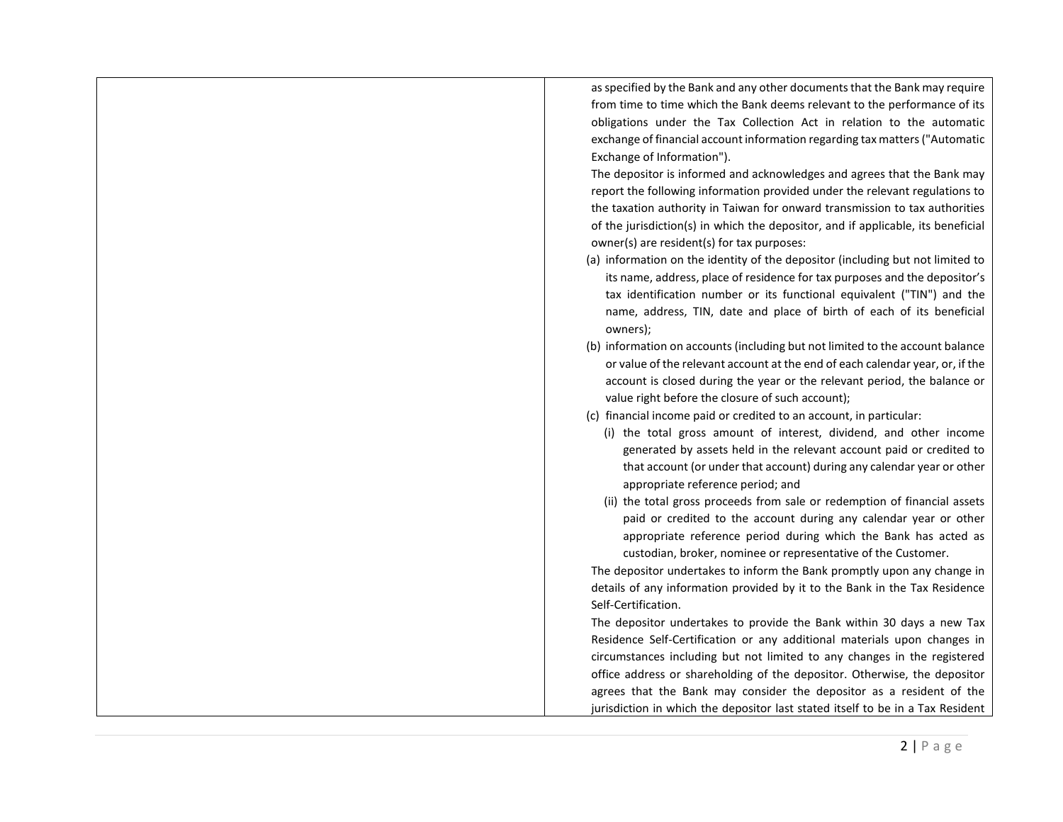as specified by the Bank and any other documents that the Bank may require from time to time which the Bank deems relevant to the performance of its obligations under the Tax Collection Act in relation to the automatic exchange of financial account information regarding tax matters ("Automatic Exchange of Information"). The depositor is informed and acknowledges and agrees that the Bank may report the following information provided under the relevant regulations to the taxation authority in Taiwan for onward transmission to tax authorities of the jurisdiction(s) in which the depositor, and if applicable, its beneficial owner(s) are resident(s) for tax purposes: (a) information on the identity of the depositor (including but not limited to its name, address, place of residence for tax purposes and the depositor's tax identification number or its functional equivalent ("TIN") and the name, address, TIN, date and place of birth of each of its beneficial owners); (b) information on accounts (including but not limited to the account balance or value of the relevant account at the end of each calendar year, or, if the account is closed during the year or the relevant period, the balance or value right before the closure of such account); (c) financial income paid or credited to an account, in particular: (i) the total gross amount of interest, dividend, and other income generated by assets held in the relevant account paid or credited to that account (or under that account) during any calendar year or other appropriate reference period; and (ii) the total gross proceeds from sale or redemption of financial assets paid or credited to the account during any calendar year or other appropriate reference period during which the Bank has acted as custodian, broker, nominee or representative of the Customer. The depositor undertakes to inform the Bank promptly upon any change in details of any information provided by it to the Bank in the Tax Residence Self-Certification. The depositor undertakes to provide the Bank within 30 days a new Tax Residence Self-Certification or any additional materials upon changes in circumstances including but not limited to any changes in the registered office address or shareholding of the depositor. Otherwise, the depositor agrees that the Bank may consider the depositor as a resident of the jurisdiction in which the depositor last stated itself to be in a Tax Resident